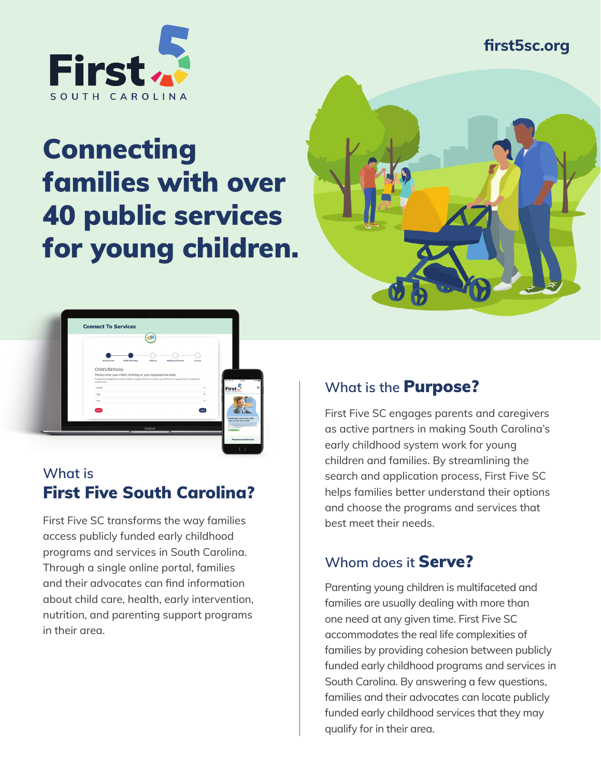### **first5sc.org**



# Connecting families with over 40 public services for young children.





## **What is** First Five South Carolina?

First Five SC transforms the way families access publicly funded early childhood programs and services in South Carolina. Through a single online portal, families and their advocates can find information about child care, health, early intervention, nutrition, and parenting support programs in their area.

# **What is the** Purpose?

First Five SC engages parents and caregivers as active partners in making South Carolina's early childhood system work for young children and families. By streamlining the search and application process, First Five SC helps families better understand their options and choose the programs and services that best meet their needs.

# **Whom does it** Serve?

Parenting young children is multifaceted and families are usually dealing with more than one need at any given time. First Five SC accommodates the real life complexities of families by providing cohesion between publicly funded early childhood programs and services in South Carolina. By answering a few questions, families and their advocates can locate publicly funded early childhood services that they may qualify for in their area.